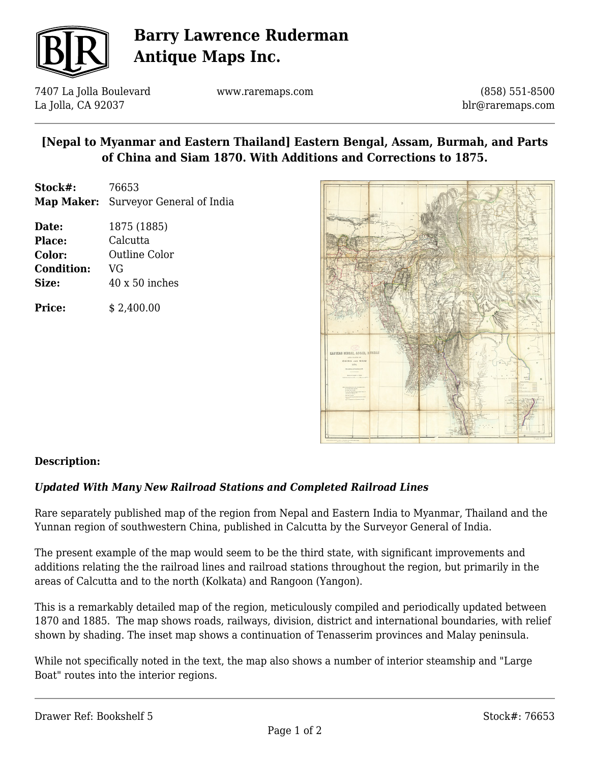

# **Barry Lawrence Ruderman Antique Maps Inc.**

7407 La Jolla Boulevard La Jolla, CA 92037

www.raremaps.com

(858) 551-8500 blr@raremaps.com

## **[Nepal to Myanmar and Eastern Thailand] Eastern Bengal, Assam, Burmah, and Parts of China and Siam 1870. With Additions and Corrections to 1875.**

- **Stock#:** 76653 **Map Maker:** Surveyor General of India
- **Date:** 1875 (1885) **Place:** Calcutta **Color:** Outline Color **Condition:** VG **Size:** 40 x 50 inches

**Price:**  $$2,400.00$ 



## **Description:**

## *Updated With Many New Railroad Stations and Completed Railroad Lines*

Rare separately published map of the region from Nepal and Eastern India to Myanmar, Thailand and the Yunnan region of southwestern China, published in Calcutta by the Surveyor General of India.

The present example of the map would seem to be the third state, with significant improvements and additions relating the the railroad lines and railroad stations throughout the region, but primarily in the areas of Calcutta and to the north (Kolkata) and Rangoon (Yangon).

This is a remarkably detailed map of the region, meticulously compiled and periodically updated between 1870 and 1885. The map shows roads, railways, division, district and international boundaries, with relief shown by shading. The inset map shows a continuation of Tenasserim provinces and Malay peninsula.

While not specifically noted in the text, the map also shows a number of interior steamship and "Large Boat" routes into the interior regions.